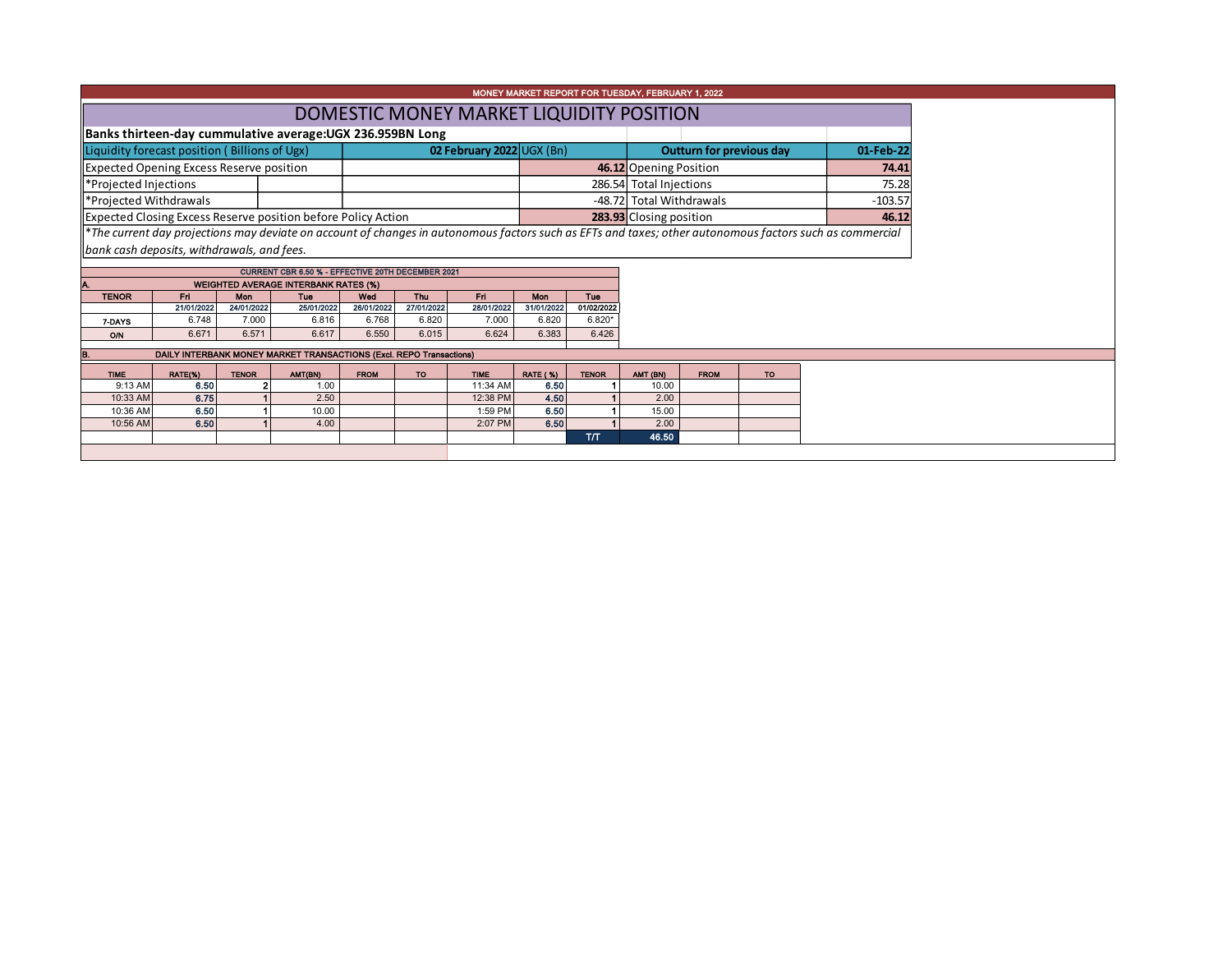| MONEY MARKET REPORT FOR TUESDAY, FEBRUARY 1, 2022                                                                                                        |                                            |              |                                                                     |             |                          |                                 |                 |              |                                 |                         |           |       |  |  |
|----------------------------------------------------------------------------------------------------------------------------------------------------------|--------------------------------------------|--------------|---------------------------------------------------------------------|-------------|--------------------------|---------------------------------|-----------------|--------------|---------------------------------|-------------------------|-----------|-------|--|--|
| DOMESTIC MONEY MARKET LIQUIDITY POSITION                                                                                                                 |                                            |              |                                                                     |             |                          |                                 |                 |              |                                 |                         |           |       |  |  |
| Banks thirteen-day cummulative average: UGX 236.959BN Long                                                                                               |                                            |              |                                                                     |             |                          |                                 |                 |              |                                 |                         |           |       |  |  |
| Liquidity forecast position (Billions of Ugx)                                                                                                            |                                            |              |                                                                     |             |                          | 02 February 2022 $\cup$ GX (Bn) |                 |              | <b>Outturn for previous day</b> | 01-Feb-22               |           |       |  |  |
| <b>Expected Opening Excess Reserve position</b>                                                                                                          |                                            |              |                                                                     |             |                          |                                 |                 |              |                                 | 46.12 Opening Position  |           |       |  |  |
| *Projected Injections                                                                                                                                    |                                            |              |                                                                     |             |                          |                                 |                 |              |                                 | 286.54 Total Injections |           |       |  |  |
| *Projected Withdrawals                                                                                                                                   |                                            |              |                                                                     |             | -48.72 Total Withdrawals |                                 |                 |              |                                 |                         |           |       |  |  |
| Expected Closing Excess Reserve position before Policy Action                                                                                            |                                            |              |                                                                     |             |                          |                                 |                 |              | 283.93 Closing position         |                         |           | 46.12 |  |  |
| *The current day projections may deviate on account of changes in autonomous factors such as EFTs and taxes; other autonomous factors such as commercial |                                            |              |                                                                     |             |                          |                                 |                 |              |                                 |                         |           |       |  |  |
|                                                                                                                                                          | bank cash deposits, withdrawals, and fees. |              |                                                                     |             |                          |                                 |                 |              |                                 |                         |           |       |  |  |
|                                                                                                                                                          |                                            |              | CURRENT CBR 6.50 % - EFFECTIVE 20TH DECEMBER 2021                   |             |                          |                                 |                 |              |                                 |                         |           |       |  |  |
|                                                                                                                                                          |                                            |              | <b>WEIGHTED AVERAGE INTERBANK RATES (%)</b>                         |             |                          |                                 |                 |              |                                 |                         |           |       |  |  |
| <b>TENOR</b>                                                                                                                                             | Fri <sub>1</sub>                           | Mon          | Tue                                                                 | Wed         | <b>Thu</b>               | Fri                             | Mon             | Tue          |                                 |                         |           |       |  |  |
|                                                                                                                                                          | 21/01/2022                                 | 24/01/2022   | 25/01/2022                                                          | 26/01/2022  | 27/01/2022               | 28/01/2022                      | 31/01/2022      | 01/02/2022   |                                 |                         |           |       |  |  |
| 7-DAYS                                                                                                                                                   | 6.748                                      | 7.000        | 6.816                                                               | 6.768       | 6.820                    | 7.000                           | 6.820           | $6.820*$     |                                 |                         |           |       |  |  |
| <b>O/N</b>                                                                                                                                               | 6.671                                      | 6.571        | 6.617                                                               | 6.550       | 6.015                    | 6.624                           | 6.383           | 6.426        |                                 |                         |           |       |  |  |
| В.                                                                                                                                                       |                                            |              | DAILY INTERBANK MONEY MARKET TRANSACTIONS (Excl. REPO Transactions) |             |                          |                                 |                 |              |                                 |                         |           |       |  |  |
| <b>TIME</b>                                                                                                                                              | RATE(%)                                    | <b>TENOR</b> | AMT(BN)                                                             | <b>FROM</b> | TO:                      | <b>TIME</b>                     | <b>RATE (%)</b> | <b>TENOR</b> | AMT (BN)                        | <b>FROM</b>             | <b>TO</b> |       |  |  |
| 9:13 AM                                                                                                                                                  | 6.50                                       |              | 1.00                                                                |             |                          | 11:34 AM                        | 6.50            |              | 10.00                           |                         |           |       |  |  |
| 10:33 AM                                                                                                                                                 | 6.75                                       |              | 2.50                                                                |             |                          | 12:38 PM                        | 4.50            |              | 2.00                            |                         |           |       |  |  |
| 10:36 AM                                                                                                                                                 | 6.50                                       |              | 10.00                                                               |             |                          | 1:59 PM                         | 6.50            |              | 15.00                           |                         |           |       |  |  |
| 10:56 AM                                                                                                                                                 | 6.50                                       |              | 4.00                                                                |             |                          | 2:07 PM                         | 6.50            |              | 2.00                            |                         |           |       |  |  |
|                                                                                                                                                          |                                            |              |                                                                     |             |                          |                                 |                 | T/T          | 46.50                           |                         |           |       |  |  |
|                                                                                                                                                          |                                            |              |                                                                     |             |                          |                                 |                 |              |                                 |                         |           |       |  |  |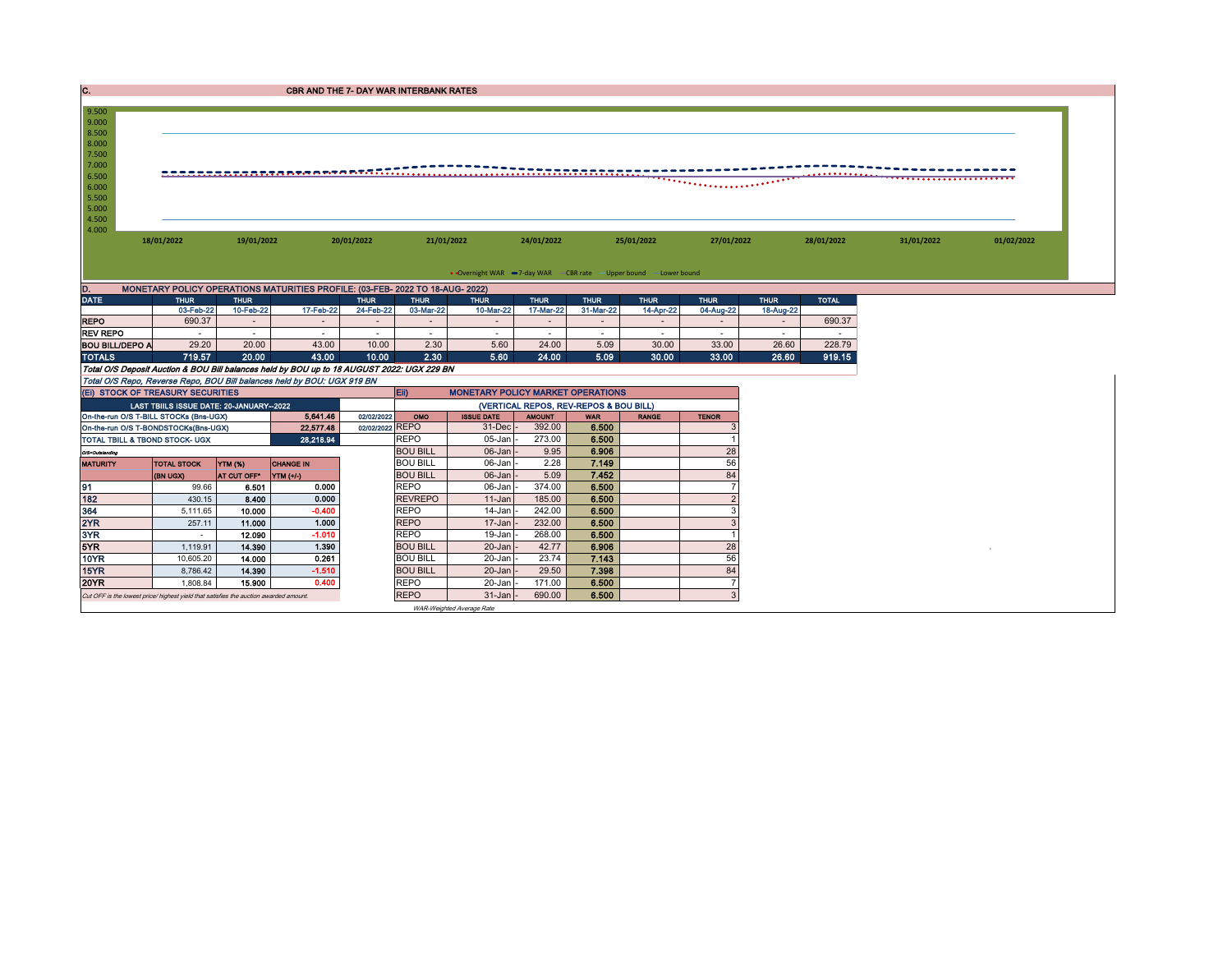|                                           |                      |                                                                                                                                                                                                                                                      |                                                                                                                                            |                                                                                                         |                                                                                                                                                                                |                                                                                                                                                                                                                                                                                                              |                                                                                            |                                                                    |                                                                                                                    |                                                                                               |                              |                                          | 01/02/2022 |
|-------------------------------------------|----------------------|------------------------------------------------------------------------------------------------------------------------------------------------------------------------------------------------------------------------------------------------------|--------------------------------------------------------------------------------------------------------------------------------------------|---------------------------------------------------------------------------------------------------------|--------------------------------------------------------------------------------------------------------------------------------------------------------------------------------|--------------------------------------------------------------------------------------------------------------------------------------------------------------------------------------------------------------------------------------------------------------------------------------------------------------|--------------------------------------------------------------------------------------------|--------------------------------------------------------------------|--------------------------------------------------------------------------------------------------------------------|-----------------------------------------------------------------------------------------------|------------------------------|------------------------------------------|------------|
|                                           |                      |                                                                                                                                                                                                                                                      |                                                                                                                                            |                                                                                                         |                                                                                                                                                                                |                                                                                                                                                                                                                                                                                                              |                                                                                            |                                                                    |                                                                                                                    |                                                                                               |                              |                                          |            |
|                                           |                      |                                                                                                                                                                                                                                                      |                                                                                                                                            |                                                                                                         |                                                                                                                                                                                |                                                                                                                                                                                                                                                                                                              |                                                                                            |                                                                    |                                                                                                                    |                                                                                               |                              |                                          |            |
|                                           |                      |                                                                                                                                                                                                                                                      |                                                                                                                                            |                                                                                                         |                                                                                                                                                                                |                                                                                                                                                                                                                                                                                                              |                                                                                            |                                                                    |                                                                                                                    |                                                                                               |                              |                                          |            |
| <b>THUR</b>                               | <b>THUR</b>          |                                                                                                                                                                                                                                                      | <b>THUR</b>                                                                                                                                | <b>THUR</b>                                                                                             | <b>THUR</b>                                                                                                                                                                    | <b>THUR</b>                                                                                                                                                                                                                                                                                                  | <b>THUR</b>                                                                                | <b>THUR</b>                                                        | <b>THUR</b>                                                                                                        | <b>THUR</b>                                                                                   | <b>TOTAL</b>                 |                                          |            |
|                                           |                      | 17-Feb-22                                                                                                                                                                                                                                            | 24-Feb-22                                                                                                                                  | 03-Mar-22                                                                                               | 10-Mar-22                                                                                                                                                                      | 17-Mar-22                                                                                                                                                                                                                                                                                                    | 31-Mar-22                                                                                  | 14-Apr-22                                                          | 04-Aug-22                                                                                                          | 18-Aug-22                                                                                     |                              |                                          |            |
|                                           | $\overline{a}$       | $\overline{a}$                                                                                                                                                                                                                                       | $\sim$                                                                                                                                     | $\sim$                                                                                                  |                                                                                                                                                                                | $\overline{a}$                                                                                                                                                                                                                                                                                               | $\overline{a}$                                                                             | $\overline{a}$                                                     | $\sim$                                                                                                             | $\overline{\phantom{a}}$                                                                      |                              |                                          |            |
|                                           | $\sim$               | $\overline{\phantom{a}}$                                                                                                                                                                                                                             | $\sim$                                                                                                                                     | $\sim$                                                                                                  | $\sim$                                                                                                                                                                         | $\sim$                                                                                                                                                                                                                                                                                                       | $\sim$                                                                                     | $\sim$                                                             | $\sim$                                                                                                             | $\sim$                                                                                        | $\sim$                       |                                          |            |
|                                           |                      |                                                                                                                                                                                                                                                      |                                                                                                                                            |                                                                                                         |                                                                                                                                                                                |                                                                                                                                                                                                                                                                                                              |                                                                                            |                                                                    |                                                                                                                    |                                                                                               |                              |                                          |            |
|                                           |                      |                                                                                                                                                                                                                                                      |                                                                                                                                            |                                                                                                         |                                                                                                                                                                                |                                                                                                                                                                                                                                                                                                              |                                                                                            |                                                                    |                                                                                                                    |                                                                                               |                              |                                          |            |
|                                           |                      |                                                                                                                                                                                                                                                      |                                                                                                                                            |                                                                                                         |                                                                                                                                                                                |                                                                                                                                                                                                                                                                                                              |                                                                                            |                                                                    |                                                                                                                    |                                                                                               |                              |                                          |            |
|                                           |                      |                                                                                                                                                                                                                                                      |                                                                                                                                            |                                                                                                         |                                                                                                                                                                                |                                                                                                                                                                                                                                                                                                              |                                                                                            |                                                                    |                                                                                                                    |                                                                                               |                              |                                          |            |
|                                           |                      |                                                                                                                                                                                                                                                      |                                                                                                                                            |                                                                                                         |                                                                                                                                                                                |                                                                                                                                                                                                                                                                                                              |                                                                                            |                                                                    |                                                                                                                    |                                                                                               |                              |                                          |            |
|                                           |                      | 5,641.46                                                                                                                                                                                                                                             | 02/02/2022                                                                                                                                 | OMO                                                                                                     | <b>ISSUE DATE</b>                                                                                                                                                              | <b>THUOMA</b>                                                                                                                                                                                                                                                                                                | <b>WAR</b>                                                                                 | <b>RANGE</b>                                                       | <b>TENOR</b>                                                                                                       |                                                                                               |                              |                                          |            |
|                                           |                      | 22,577.48                                                                                                                                                                                                                                            |                                                                                                                                            |                                                                                                         |                                                                                                                                                                                | 392.00                                                                                                                                                                                                                                                                                                       | 6.500                                                                                      |                                                                    |                                                                                                                    |                                                                                               |                              |                                          |            |
| <b>TOTAL TBILL &amp; TBOND STOCK- UGX</b> |                      | 28.218.94                                                                                                                                                                                                                                            |                                                                                                                                            |                                                                                                         | 05-Jan                                                                                                                                                                         | 273.00                                                                                                                                                                                                                                                                                                       | 6.500                                                                                      |                                                                    |                                                                                                                    |                                                                                               |                              |                                          |            |
|                                           |                      |                                                                                                                                                                                                                                                      |                                                                                                                                            |                                                                                                         | 06-Jan                                                                                                                                                                         | 9.95                                                                                                                                                                                                                                                                                                         | 6.906                                                                                      |                                                                    | 28                                                                                                                 |                                                                                               |                              |                                          |            |
| <b>TOTAL STOCK</b>                        | <b>YTM (%)</b>       | <b>CHANGE IN</b>                                                                                                                                                                                                                                     |                                                                                                                                            |                                                                                                         | 06-Jan                                                                                                                                                                         | 2.28                                                                                                                                                                                                                                                                                                         |                                                                                            |                                                                    |                                                                                                                    |                                                                                               |                              |                                          |            |
| (BN UGX)                                  | AT CUT OFF*          |                                                                                                                                                                                                                                                      |                                                                                                                                            |                                                                                                         |                                                                                                                                                                                |                                                                                                                                                                                                                                                                                                              |                                                                                            |                                                                    |                                                                                                                    |                                                                                               |                              |                                          |            |
|                                           |                      |                                                                                                                                                                                                                                                      |                                                                                                                                            |                                                                                                         |                                                                                                                                                                                |                                                                                                                                                                                                                                                                                                              |                                                                                            |                                                                    |                                                                                                                    |                                                                                               |                              |                                          |            |
|                                           |                      |                                                                                                                                                                                                                                                      |                                                                                                                                            |                                                                                                         |                                                                                                                                                                                |                                                                                                                                                                                                                                                                                                              |                                                                                            |                                                                    |                                                                                                                    |                                                                                               |                              |                                          |            |
|                                           |                      |                                                                                                                                                                                                                                                      |                                                                                                                                            |                                                                                                         |                                                                                                                                                                                |                                                                                                                                                                                                                                                                                                              |                                                                                            |                                                                    |                                                                                                                    |                                                                                               |                              |                                          |            |
| $\sim$                                    | 12.090               | $-1.010$                                                                                                                                                                                                                                             |                                                                                                                                            | <b>REPO</b>                                                                                             | 19-Jan                                                                                                                                                                         | 268.00                                                                                                                                                                                                                                                                                                       | 6.500                                                                                      |                                                                    |                                                                                                                    |                                                                                               |                              |                                          |            |
|                                           |                      |                                                                                                                                                                                                                                                      |                                                                                                                                            | <b>BOU BILL</b>                                                                                         | 20-Jan                                                                                                                                                                         | 42.77                                                                                                                                                                                                                                                                                                        | 6.906                                                                                      |                                                                    | 28                                                                                                                 |                                                                                               |                              |                                          |            |
|                                           |                      |                                                                                                                                                                                                                                                      |                                                                                                                                            |                                                                                                         |                                                                                                                                                                                |                                                                                                                                                                                                                                                                                                              |                                                                                            |                                                                    |                                                                                                                    |                                                                                               |                              |                                          |            |
| 1,119.91                                  | 14.390               | 1.390                                                                                                                                                                                                                                                |                                                                                                                                            |                                                                                                         |                                                                                                                                                                                |                                                                                                                                                                                                                                                                                                              |                                                                                            |                                                                    |                                                                                                                    |                                                                                               |                              |                                          |            |
| 10,605.20                                 | 14.000               | 0.261                                                                                                                                                                                                                                                |                                                                                                                                            | <b>BOU BILL</b>                                                                                         | 20-Jan                                                                                                                                                                         | 23.74                                                                                                                                                                                                                                                                                                        | 7.143                                                                                      |                                                                    | 56                                                                                                                 |                                                                                               |                              |                                          |            |
| 8,786.42<br>1,808.84                      | 14.390<br>15.900     | $-1.510$<br>0.400                                                                                                                                                                                                                                    |                                                                                                                                            | <b>BOU BILL</b><br><b>REPO</b>                                                                          | 20-Jan<br>20-Jan                                                                                                                                                               | 29.50<br>171.00                                                                                                                                                                                                                                                                                              | 7.398<br>6.500                                                                             |                                                                    | 84                                                                                                                 |                                                                                               |                              |                                          |            |
|                                           | 18/01/2022<br>690.37 | 03-Feb-22<br>29.20<br>20.00<br>20.00<br>719.57<br>(EI) STOCK OF TREASURY SECURITIES<br>On-the-run O/S T-BILL STOCKs (Bns-UGX)<br>On-the-run O/S T-BONDSTOCKs(Bns-UGX)<br>6.501<br>99.66<br>8.400<br>430.15<br>5,111.65<br>10.000<br>257.11<br>11.000 | 19/01/2022<br>10-Feb-22<br>43.00<br>43.00<br>LAST TBIILS ISSUE DATE: 20-JANUARY-2022<br>$YIM (+/-)$<br>0.000<br>0.000<br>$-0.400$<br>1.000 | 20/01/2022<br>10.00<br>10.00<br>Total O/S Repo, Reverse Repo, BOU Bill balances held by BOU: UGX 919 BN | 2.30<br>2.30<br>Eii)<br>02/02/2022 REPO<br><b>REPO</b><br><b>BOU BILL</b><br><b>BOU BILL</b><br><b>BOU BILL</b><br><b>REPO</b><br><b>REVREPO</b><br><b>REPO</b><br><b>REPO</b> | <b>CBR AND THE 7- DAY WAR INTERBANK RATES</b><br>21/01/2022<br>MONETARY POLICY OPERATIONS MATURITIES PROFILE: (03-FEB- 2022 TO 18-AUG- 2022)<br>5.60<br>5.60<br>Total O/S Deposit Auction & BOU Bill balances held by BOU up to 18 AUGUST 2022: UGX 229 BN<br>06-Jan<br>06-Jan<br>11-Jan<br>14-Jan<br>17-Jan | 24/01/2022<br>24.00<br>24.00<br>$31 - Dec$<br>5.09<br>374.00<br>185.00<br>242.00<br>232.00 | 5.09<br>5.09<br>7.149<br>7.452<br>6.500<br>6.500<br>6.500<br>6.500 | 25/01/2022<br>30.00<br>30.00<br><b>MONETARY POLICY MARKET OPERATIONS</b><br>(VERTICAL REPOS, REV-REPOS & BOU BILL) | • Overnight WAR -7-day WAR - CBR rate -Upper bound -Lower bound<br>33.00<br>33.00<br>56<br>84 | 27/01/2022<br>26.60<br>26.60 | 28/01/2022<br>690.37<br>228.79<br>919.15 | 31/01/2022 |

WAR-Weighted Average Rate